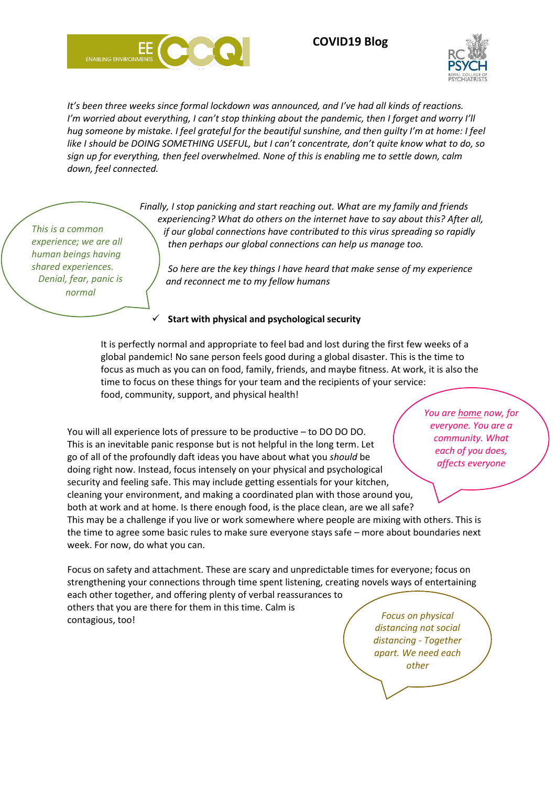





*You are home now, for* 

*It's been three weeks since formal lockdown was announced, and I've had all kinds of reactions. I'm worried about everything, I can't stop thinking about the pandemic, then I forget and worry I'll hug someone by mistake. I feel grateful for the beautiful sunshine, and then guilty I'm at home: I feel like I should be DOING SOMETHING USEFUL, but I can't concentrate, don't quite know what to do, so sign up for everything, then feel overwhelmed. None of this is enabling me to settle down, calm down, feel connected.*

> *Finally, I stop panicking and start reaching out. What are my family and friends experiencing? What do others on the internet have to say about this? After all, if our global connections have contributed to this virus spreading so rapidly then perhaps our global connections can help us manage too.*

*So here are the key things I have heard that make sense of my experience and reconnect me to my fellow humans* 

## ✓ **Start with physical and psychological security**

It is perfectly normal and appropriate to feel bad and lost during the first few weeks of a global pandemic! No sane person feels good during a global disaster. This is the time to focus as much as you can on food, family, friends, and maybe fitness. At work, it is also the time to focus on these things for your team and the recipients of your service: food, community, support, and physical health!

You will all experience lots of pressure to be productive – to DO DO DO. This is an inevitable panic response but is not helpful in the long term. Let go of all of the profoundly daft ideas you have about what you *should* be doing right now. Instead, focus intensely on your physical and psychological security and feeling safe. This may include getting essentials for your kitchen, cleaning your environment, and making a coordinated plan with those around you, both at work and at home. Is there enough food, is the place clean, are we all safe? This may be a challenge if you live or work somewhere where people are mixing with others. This is the time to agree some basic rules to make sure everyone stays safe – more about boundaries next week. For now, do what you can. *everyone. You are a community. What each of you does, affects everyone*

Focus on safety and attachment. These are scary and unpredictable times for everyone; focus on strengthening your connections through time spent listening, creating novels ways of entertaining each other together, and offering plenty of verbal reassurances to others that you are there for them in this time. Calm is contagious, too! *Focus on physical* 

*distancing not social distancing - Together apart. We need each other*

*This is a common experience; we are all human beings having shared experiences. Denial, fear, panic is normal*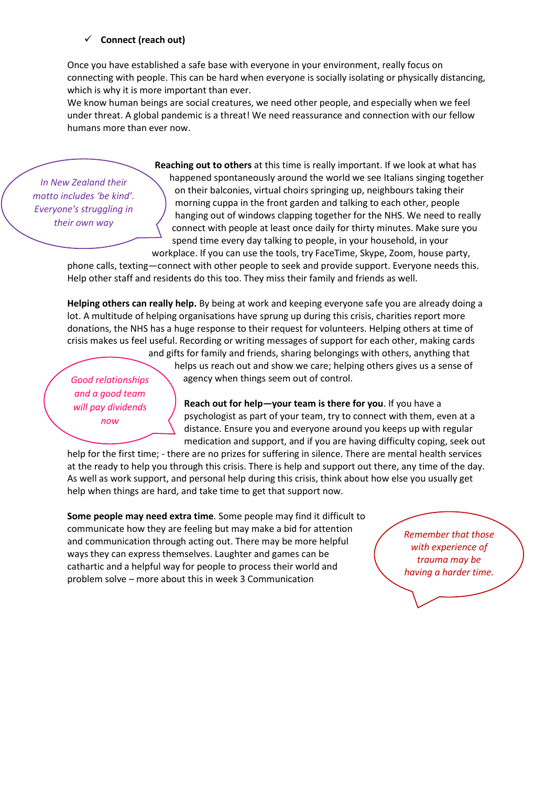## ✓ **Connect (reach out)**

Once you have established a safe base with everyone in your environment, really focus on connecting with people. This can be hard when everyone is socially isolating or physically distancing, which is why it is more important than ever.

We know human beings are social creatures, we need other people, and especially when we feel under threat. A global pandemic is a threat! We need reassurance and connection with our fellow humans more than ever now.

*In New Zealand their motto includes 'be kind'. Everyone's struggling in their own way*

**Reaching out to others** at this time is really important. If we look at what has happened spontaneously around the world we see Italians singing together on their balconies, virtual choirs springing up, neighbours taking their morning cuppa in the front garden and talking to each other, people hanging out of windows clapping together for the NHS. We need to really connect with people at least once daily for thirty minutes. Make sure you spend time every day talking to people, in your household, in your workplace. If you can use the tools, try FaceTime, Skype, Zoom, house party,

phone calls, texting—connect with other people to seek and provide support. Everyone needs this. Help other staff and residents do this too. They miss their family and friends as well.

**Helping others can really help.** By being at work and keeping everyone safe you are already doing a lot. A multitude of helping organisations have sprung up during this crisis, charities report more donations, the NHS has a huge response to their request for volunteers. Helping others at time of crisis makes us feel useful. Recording or writing messages of support for each other, making cards and gifts for family and friends, sharing belongings with others, anything that

*Good relationships and a good team will pay dividends now* 

helps us reach out and show we care; helping others gives us a sense of agency when things seem out of control.

**Reach out for help—your team is there for you**. If you have a psychologist as part of your team, try to connect with them, even at a distance. Ensure you and everyone around you keeps up with regular medication and support, and if you are having difficulty coping, seek out

help for the first time; - there are no prizes for suffering in silence. There are mental health services at the ready to help you through this crisis. There is help and support out there, any time of the day. As well as work support, and personal help during this crisis, think about how else you usually get help when things are hard, and take time to get that support now.

**Some people may need extra time**. Some people may find it difficult to communicate how they are feeling but may make a bid for attention and communication through acting out. There may be more helpful ways they can express themselves. Laughter and games can be cathartic and a helpful way for people to process their world and problem solve – more about this in week 3 Communication

*Remember that those with experience of trauma may be having a harder time.*